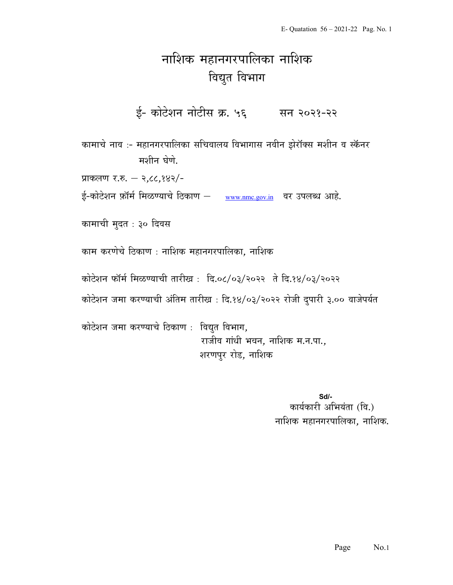## नाशिक महानगरपालिका नाशिक विद्युत विभाग

ई- कोटेशन नोटीस क्र. ५६ सन २०२१-२२

कामाचे नाव :- महानगरपालिका सचिवालय विभागास नवीन झेरॉक्स मशीन व स्कॅनर मशीन घेणे.

प्राकलण र.रु.  $-$  २,८८,१४२/-

ई-कोटेशन फ़ॉर्म मिळण्याचे ठिकाण – www.nmc.gov.in वर उपलब्ध आहे.

कामाची मुदत : ३० दिवस

काम करणेचे ठिकाण : नाशिक महानगरपालिका, नाशिक

कोटेशन फॉर्म मिळण्याची तारीख: दि.०८/०३/२०२२ ते दि.१४/०३/२०२२

कोटेशन जमा करण्याची अंतिम तारीख़ : दि.१४/०३/२०२२ रोजी दुपारी ३.०० वाजेपर्यत

कोटेशन जमा करण्याचे ठिकाण: विद्युत विभाग, राजीव गांधी भवन, नाशिक म.न.पा., शरणपुर रोड, नाशिक

> $Sd$ कार्यकारी अभियंता (वि.) नाशिक महानगरपालिका, नाशिक.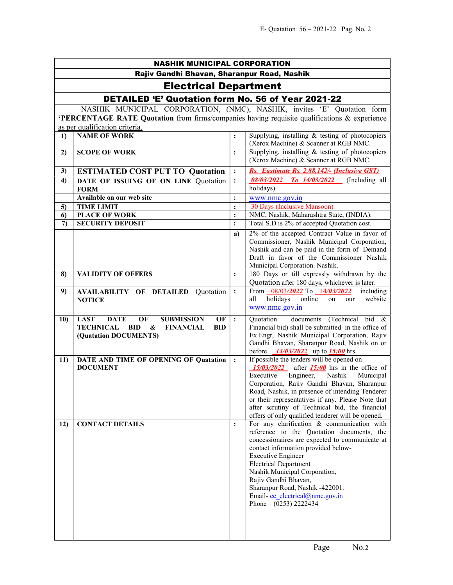| <b>NASHIK MUNICIPAL CORPORATION</b>                                     |                                                                                                                                                                     |                                  |                                                                                                                                                                                                                                                                                                                                                                                                             |  |  |  |  |  |  |
|-------------------------------------------------------------------------|---------------------------------------------------------------------------------------------------------------------------------------------------------------------|----------------------------------|-------------------------------------------------------------------------------------------------------------------------------------------------------------------------------------------------------------------------------------------------------------------------------------------------------------------------------------------------------------------------------------------------------------|--|--|--|--|--|--|
|                                                                         | Rajiv Gandhi Bhavan, Sharanpur Road, Nashik                                                                                                                         |                                  |                                                                                                                                                                                                                                                                                                                                                                                                             |  |  |  |  |  |  |
| <b>Electrical Department</b>                                            |                                                                                                                                                                     |                                  |                                                                                                                                                                                                                                                                                                                                                                                                             |  |  |  |  |  |  |
| <b>DETAILED 'E' Quotation form No. 56 of Year 2021-22</b>               |                                                                                                                                                                     |                                  |                                                                                                                                                                                                                                                                                                                                                                                                             |  |  |  |  |  |  |
| NASHIK MUNICIPAL CORPORATION, (NMC), NASHIK, invites 'E' Quotation form |                                                                                                                                                                     |                                  |                                                                                                                                                                                                                                                                                                                                                                                                             |  |  |  |  |  |  |
|                                                                         | <b>PERCENTAGE RATE Quotation</b> from firms/companies having requisite qualifications & experience                                                                  |                                  |                                                                                                                                                                                                                                                                                                                                                                                                             |  |  |  |  |  |  |
|                                                                         | as per qualification criteria.                                                                                                                                      |                                  |                                                                                                                                                                                                                                                                                                                                                                                                             |  |  |  |  |  |  |
| 1)                                                                      | <b>NAME OF WORK</b>                                                                                                                                                 | $\ddot{\cdot}$                   | Supplying, installing & testing of photocopiers<br>(Xerox Machine) & Scanner at RGB NMC.                                                                                                                                                                                                                                                                                                                    |  |  |  |  |  |  |
| 2)                                                                      | <b>SCOPE OF WORK</b>                                                                                                                                                | :                                | Supplying, installing & testing of photocopiers<br>(Xerox Machine) & Scanner at RGB NMC.                                                                                                                                                                                                                                                                                                                    |  |  |  |  |  |  |
| 3)                                                                      | <b>ESTIMATED COST PUT TO Quotation</b>                                                                                                                              | $\ddot{\cdot}$                   | Rs. Eastimate Rs. 2,88,142/- (Inclusive GST)                                                                                                                                                                                                                                                                                                                                                                |  |  |  |  |  |  |
| 4)                                                                      | DATE OF ISSUING OF ON LINE Quotation<br><b>FORM</b>                                                                                                                 | $\ddot{\cdot}$                   | 08/03/2022 To 14/03/2022 (Including all<br>holidays)                                                                                                                                                                                                                                                                                                                                                        |  |  |  |  |  |  |
|                                                                         | Available on our web site                                                                                                                                           | $\ddot{\cdot}$                   | www.nmc.gov.in                                                                                                                                                                                                                                                                                                                                                                                              |  |  |  |  |  |  |
| 5)                                                                      | <b>TIME LIMIT</b>                                                                                                                                                   | $\ddot{\cdot}$                   | 30 Days (Inclusive Mansoon)                                                                                                                                                                                                                                                                                                                                                                                 |  |  |  |  |  |  |
| 6)<br>$\mathcal{L}$                                                     | <b>PLACE OF WORK</b><br><b>SECURITY DEPOSIT</b>                                                                                                                     | $\ddot{\cdot}$<br>$\ddot{\cdot}$ | NMC, Nashik, Maharashtra State, (INDIA).<br>Total S.D is 2% of accepted Quotation cost.                                                                                                                                                                                                                                                                                                                     |  |  |  |  |  |  |
|                                                                         |                                                                                                                                                                     |                                  | 2% of the accepted Contract Value in favor of                                                                                                                                                                                                                                                                                                                                                               |  |  |  |  |  |  |
|                                                                         |                                                                                                                                                                     | a)                               | Commissioner, Nashik Municipal Corporation,<br>Nashik and can be paid in the form of Demand<br>Draft in favor of the Commissioner Nashik<br>Municipal Corporation. Nashik.                                                                                                                                                                                                                                  |  |  |  |  |  |  |
| 8)                                                                      | <b>VALIDITY OF OFFERS</b>                                                                                                                                           | $\ddot{\cdot}$                   | 180 Days or till expressly withdrawn by the<br>Quotation after 180 days, whichever is later.                                                                                                                                                                                                                                                                                                                |  |  |  |  |  |  |
| 9)                                                                      | <b>AVAILABILITY OF DETAILED Quotation</b><br><b>NOTICE</b>                                                                                                          | $\ddot{\cdot}$                   | From $\frac{08}{03/2022}$ To $\frac{14}{03/2022}$<br>including<br>holidays<br>online<br>website<br>all<br>on<br>our<br>www.nmc.gov.in                                                                                                                                                                                                                                                                       |  |  |  |  |  |  |
| 10)                                                                     | <b>LAST</b><br><b>SUBMISSION</b><br>OF<br><b>DATE</b><br>OF<br><b>TECHNICAL BID</b><br>$\boldsymbol{\&}$<br><b>FINANCIAL</b><br><b>BID</b><br>(Quatation DOCUMENTS) | $\cdot$                          | documents (Technical bid &<br>Quotation<br>Financial bid) shall be submitted in the office of<br>Ex.Engr, Nashik Municipal Corporation, Rajiv<br>Gandhi Bhavan, Sharanpur Road, Nashik on or<br>before<br>$14/03/2022$ up to <b>15:00</b> hrs.                                                                                                                                                              |  |  |  |  |  |  |
| 11)                                                                     | DATE AND TIME OF OPENING OF Quatation<br><b>DOCUMENT</b>                                                                                                            | $\ddot{\cdot}$                   | If possible the tenders will be opened on<br>$15/03/2022$ after $15:00$ hrs in the office of<br>Executive<br>Engineer,<br>Nashik<br>Municipal<br>Corporation, Rajiv Gandhi Bhavan, Sharanpur<br>Road, Nashik, in presence of intending Tenderer<br>or their representatives if any. Please Note that<br>after scrutiny of Technical bid, the financial<br>offers of only qualified tenderer will be opened. |  |  |  |  |  |  |
| 12)                                                                     | <b>CONTACT DETAILS</b>                                                                                                                                              | $\ddot{\cdot}$                   | For any clarification & communication with<br>reference to the Quotation documents, the<br>concessionaires are expected to communicate at<br>contact information provided below-<br><b>Executive Engineer</b><br><b>Electrical Department</b><br>Nashik Municipal Corporation,<br>Rajiv Gandhi Bhavan,<br>Sharanpur Road, Nashik -422001.<br>Email- ee electrical@nmc.gov.in<br>Phone $- (0253)$ 2222434    |  |  |  |  |  |  |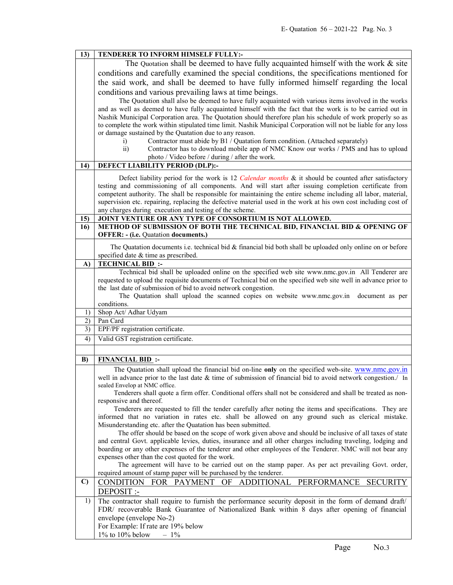| 13)          | TENDERER TO INFORM HIMSELF FULLY:-                                                                                                                                                                                                |  |  |  |  |  |
|--------------|-----------------------------------------------------------------------------------------------------------------------------------------------------------------------------------------------------------------------------------|--|--|--|--|--|
|              | The Quotation shall be deemed to have fully acquainted himself with the work & site                                                                                                                                               |  |  |  |  |  |
|              | conditions and carefully examined the special conditions, the specifications mentioned for                                                                                                                                        |  |  |  |  |  |
|              | the said work, and shall be deemed to have fully informed himself regarding the local                                                                                                                                             |  |  |  |  |  |
|              |                                                                                                                                                                                                                                   |  |  |  |  |  |
|              | conditions and various prevailing laws at time beings.                                                                                                                                                                            |  |  |  |  |  |
|              | The Quotation shall also be deemed to have fully acquainted with various items involved in the works                                                                                                                              |  |  |  |  |  |
|              | and as well as deemed to have fully acquainted himself with the fact that the work is to be carried out in                                                                                                                        |  |  |  |  |  |
|              | Nashik Municipal Corporation area. The Quotation should therefore plan his schedule of work properly so as                                                                                                                        |  |  |  |  |  |
|              | to complete the work within stipulated time limit. Nashik Municipal Corporation will not be liable for any loss                                                                                                                   |  |  |  |  |  |
|              | or damage sustained by the Quatation due to any reason.<br>Contractor must abide by B1 / Quatation form condition. (Attached separately)<br>$\mathbf{i}$                                                                          |  |  |  |  |  |
|              |                                                                                                                                                                                                                                   |  |  |  |  |  |
|              | Contractor has to download mobile app of NMC Know our works / PMS and has to upload<br>$\overline{ii}$<br>photo / Video before / during / after the work.                                                                         |  |  |  |  |  |
| 14)          | DEFECT LIABILITY PERIOD (DLP):-                                                                                                                                                                                                   |  |  |  |  |  |
|              |                                                                                                                                                                                                                                   |  |  |  |  |  |
|              | Defect liability period for the work is 12 Calendar months & it should be counted after satisfactory                                                                                                                              |  |  |  |  |  |
|              | testing and commissioning of all components. And will start after issuing completion certificate from                                                                                                                             |  |  |  |  |  |
|              | competent authority. The shall be responsible for maintaining the entire scheme including all labor, material,<br>supervision etc. repairing, replacing the defective material used in the work at his own cost including cost of |  |  |  |  |  |
|              | any charges during execution and testing of the scheme.                                                                                                                                                                           |  |  |  |  |  |
| 15)          | JOINT VENTURE OR ANY TYPE OF CONSORTIUM IS NOT ALLOWED.                                                                                                                                                                           |  |  |  |  |  |
| 16)          | METHOD OF SUBMISSION OF BOTH THE TECHNICAL BID, FINANCIAL BID & OPENING OF                                                                                                                                                        |  |  |  |  |  |
|              | <b>OFFER: - (i.e. Quatation documents.)</b>                                                                                                                                                                                       |  |  |  |  |  |
|              |                                                                                                                                                                                                                                   |  |  |  |  |  |
|              | The Quatation documents i.e. technical bid & financial bid both shall be uploaded only online on or before<br>specified date & time as prescribed.                                                                                |  |  |  |  |  |
| A)           | <b>TECHNICAL BID:</b>                                                                                                                                                                                                             |  |  |  |  |  |
|              | Technical bid shall be uploaded online on the specified web site www.nmc.gov.in All Tenderer are                                                                                                                                  |  |  |  |  |  |
|              | requested to upload the requisite documents of Technical bid on the specified web site well in advance prior to                                                                                                                   |  |  |  |  |  |
|              | the last date of submission of bid to avoid network congestion.                                                                                                                                                                   |  |  |  |  |  |
|              | The Quatation shall upload the scanned copies on website www.nmc.gov.in<br>document as per                                                                                                                                        |  |  |  |  |  |
|              | conditions.                                                                                                                                                                                                                       |  |  |  |  |  |
| 1)           | Shop Act/ Adhar Udyam                                                                                                                                                                                                             |  |  |  |  |  |
| 2)           | Pan Card                                                                                                                                                                                                                          |  |  |  |  |  |
| 3)           | EPF/PF registration certificate.                                                                                                                                                                                                  |  |  |  |  |  |
| 4)           | Valid GST registration certificate.                                                                                                                                                                                               |  |  |  |  |  |
|              |                                                                                                                                                                                                                                   |  |  |  |  |  |
| B)           | <b>FINANCIAL BID:</b>                                                                                                                                                                                                             |  |  |  |  |  |
|              | The Quatation shall upload the financial bid on-line only on the specified web-site. www.nmc.gov.in                                                                                                                               |  |  |  |  |  |
|              | well in advance prior to the last date & time of submission of financial bid to avoid network congestion./ In                                                                                                                     |  |  |  |  |  |
|              | sealed Envelop at NMC office.                                                                                                                                                                                                     |  |  |  |  |  |
|              | Tenderers shall quote a firm offer. Conditional offers shall not be considered and shall be treated as non-                                                                                                                       |  |  |  |  |  |
|              | responsive and thereof.                                                                                                                                                                                                           |  |  |  |  |  |
|              | Tenderers are requested to fill the tender carefully after noting the items and specifications. They are<br>informed that no variation in rates etc. shall be allowed on any ground such as clerical mistake.                     |  |  |  |  |  |
|              |                                                                                                                                                                                                                                   |  |  |  |  |  |
|              | Misunderstanding etc. after the Quatation has been submitted.<br>The offer should be based on the scope of work given above and should be inclusive of all taxes of state                                                         |  |  |  |  |  |
|              | and central Govt. applicable levies, duties, insurance and all other charges including traveling, lodging and                                                                                                                     |  |  |  |  |  |
|              | boarding or any other expenses of the tenderer and other employees of the Tenderer. NMC will not bear any                                                                                                                         |  |  |  |  |  |
|              | expenses other than the cost quoted for the work.                                                                                                                                                                                 |  |  |  |  |  |
|              | The agreement will have to be carried out on the stamp paper. As per act prevailing Govt. order,                                                                                                                                  |  |  |  |  |  |
|              | required amount of stamp paper will be purchased by the tenderer.                                                                                                                                                                 |  |  |  |  |  |
| $\mathbf{C}$ | CONDITION FOR PAYMENT OF ADDITIONAL PERFORMANCE<br><b>SECURITY</b>                                                                                                                                                                |  |  |  |  |  |
|              | DEPOSIT :-                                                                                                                                                                                                                        |  |  |  |  |  |
| 1)           | The contractor shall require to furnish the performance security deposit in the form of demand draft/                                                                                                                             |  |  |  |  |  |
|              | FDR/ recoverable Bank Guarantee of Nationalized Bank within 8 days after opening of financial                                                                                                                                     |  |  |  |  |  |
|              | envelope (envelope No-2)                                                                                                                                                                                                          |  |  |  |  |  |
|              | For Example: If rate are 19% below                                                                                                                                                                                                |  |  |  |  |  |
|              | $1\%$ to $10\%$ below<br>$-1\%$                                                                                                                                                                                                   |  |  |  |  |  |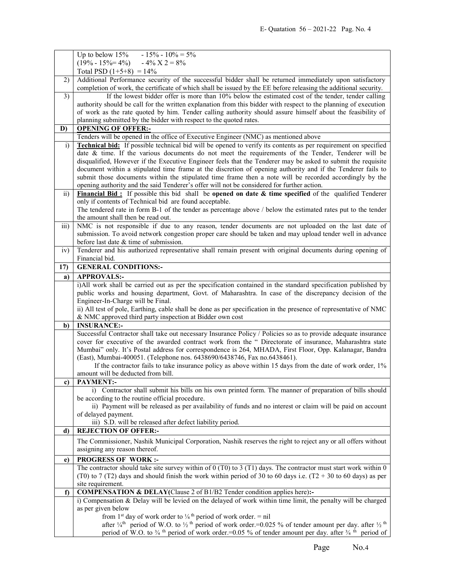|                 | Up to below 15% - 15% - $10\% = 5\%$                                                                                                                                                                                                                                             |  |  |  |  |
|-----------------|----------------------------------------------------------------------------------------------------------------------------------------------------------------------------------------------------------------------------------------------------------------------------------|--|--|--|--|
|                 | $(19\% - 15\% = 4\%) - 4\% \times 2 = 8\%$                                                                                                                                                                                                                                       |  |  |  |  |
|                 | Total PSD $(1+5+8) = 14\%$                                                                                                                                                                                                                                                       |  |  |  |  |
| 2)              | Additional Performance security of the successful bidder shall be returned immediately upon satisfactory                                                                                                                                                                         |  |  |  |  |
|                 | completion of work, the certificate of which shall be issued by the EE before releasing the additional security.<br>If the lowest bidder offer is more than 10% below the estimated cost of the tender, tender calling                                                           |  |  |  |  |
| $\overline{3)}$ | authority should be call for the written explanation from this bidder with respect to the planning of execution                                                                                                                                                                  |  |  |  |  |
|                 |                                                                                                                                                                                                                                                                                  |  |  |  |  |
|                 | of work as the rate quoted by him. Tender calling authority should assure himself about the feasibility of<br>planning submitted by the bidder with respect to the quoted rates.                                                                                                 |  |  |  |  |
| D)              |                                                                                                                                                                                                                                                                                  |  |  |  |  |
|                 | <b>OPENING OF OFFER:-</b><br>Tenders will be opened in the office of Executive Engineer (NMC) as mentioned above                                                                                                                                                                 |  |  |  |  |
| $\mathbf{i}$    | <b>Technical bid:</b> If possible technical bid will be opened to verify its contents as per requirement on specified                                                                                                                                                            |  |  |  |  |
|                 | date & time. If the various documents do not meet the requirements of the Tender, Tenderer will be                                                                                                                                                                               |  |  |  |  |
|                 | disqualified, However if the Executive Engineer feels that the Tenderer may be asked to submit the requisite                                                                                                                                                                     |  |  |  |  |
|                 | document within a stipulated time frame at the discretion of opening authority and if the Tenderer fails to                                                                                                                                                                      |  |  |  |  |
|                 | submit those documents within the stipulated time frame then a note will be recorded accordingly by the                                                                                                                                                                          |  |  |  |  |
|                 | opening authority and the said Tenderer's offer will not be considered for further action.                                                                                                                                                                                       |  |  |  |  |
| $\overline{ii}$ | Financial Bid: If possible this bid shall be opened on date $\&$ time specified of the qualified Tenderer                                                                                                                                                                        |  |  |  |  |
|                 | only if contents of Technical bid are found acceptable.                                                                                                                                                                                                                          |  |  |  |  |
|                 | The tendered rate in form B-1 of the tender as percentage above / below the estimated rates put to the tender                                                                                                                                                                    |  |  |  |  |
|                 | the amount shall then be read out.                                                                                                                                                                                                                                               |  |  |  |  |
| iii)            | NMC is not responsible if due to any reason, tender documents are not uploaded on the last date of                                                                                                                                                                               |  |  |  |  |
|                 | submission. To avoid network congestion proper care should be taken and may upload tender well in advance                                                                                                                                                                        |  |  |  |  |
|                 | before last date & time of submission.                                                                                                                                                                                                                                           |  |  |  |  |
| iv)             | Tenderer and his authorized representative shall remain present with original documents during opening of                                                                                                                                                                        |  |  |  |  |
|                 | Financial bid.                                                                                                                                                                                                                                                                   |  |  |  |  |
| 17)             | <b>GENERAL CONDITIONS:-</b>                                                                                                                                                                                                                                                      |  |  |  |  |
| a)              | <b>APPROVALS:-</b>                                                                                                                                                                                                                                                               |  |  |  |  |
|                 | i)All work shall be carried out as per the specification contained in the standard specification published by                                                                                                                                                                    |  |  |  |  |
|                 | public works and housing department, Govt. of Maharashtra. In case of the discrepancy decision of the<br>Engineer-In-Charge will be Final.                                                                                                                                       |  |  |  |  |
|                 | ii) All test of pole, Earthing, cable shall be done as per specification in the presence of representative of NMC                                                                                                                                                                |  |  |  |  |
|                 | & NMC approved third party inspection at Bidder own cost                                                                                                                                                                                                                         |  |  |  |  |
| b)              | <b>INSURANCE:-</b>                                                                                                                                                                                                                                                               |  |  |  |  |
|                 | Successful Contractor shall take out necessary Insurance Policy / Policies so as to provide adequate insurance                                                                                                                                                                   |  |  |  |  |
|                 | cover for executive of the awarded contract work from the " Directorate of insurance, Maharashtra state                                                                                                                                                                          |  |  |  |  |
|                 | Mumbai" only. It's Postal address for correspondence is 264, MHADA, First Floor, Opp. Kalanagar, Bandra                                                                                                                                                                          |  |  |  |  |
|                 | (East), Mumbai-400051. (Telephone nos. 6438690/6438746, Fax no.6438461).                                                                                                                                                                                                         |  |  |  |  |
|                 |                                                                                                                                                                                                                                                                                  |  |  |  |  |
|                 | If the contractor fails to take insurance policy as above within 15 days from the date of work order, 1%                                                                                                                                                                         |  |  |  |  |
|                 | amount will be deducted from bill.                                                                                                                                                                                                                                               |  |  |  |  |
| c)              | <b>PAYMENT:-</b>                                                                                                                                                                                                                                                                 |  |  |  |  |
|                 | i) Contractor shall submit his bills on his own printed form. The manner of preparation of bills should                                                                                                                                                                          |  |  |  |  |
|                 | be according to the routine official procedure.                                                                                                                                                                                                                                  |  |  |  |  |
|                 | ii) Payment will be released as per availability of funds and no interest or claim will be paid on account                                                                                                                                                                       |  |  |  |  |
|                 | of delayed payment.                                                                                                                                                                                                                                                              |  |  |  |  |
|                 | iii) S.D. will be released after defect liability period.                                                                                                                                                                                                                        |  |  |  |  |
| d)              | <b>REJECTION OF OFFER:-</b>                                                                                                                                                                                                                                                      |  |  |  |  |
|                 | The Commissioner, Nashik Municipal Corporation, Nashik reserves the right to reject any or all offers without                                                                                                                                                                    |  |  |  |  |
|                 | assigning any reason thereof.                                                                                                                                                                                                                                                    |  |  |  |  |
| e)              | <b>PROGRESS OF WORK:-</b>                                                                                                                                                                                                                                                        |  |  |  |  |
|                 | The contractor should take site survey within of $0$ (T0) to 3 (T1) days. The contractor must start work within 0                                                                                                                                                                |  |  |  |  |
|                 | (T0) to 7 (T2) days and should finish the work within period of 30 to 60 days i.e. (T2 + 30 to 60 days) as per                                                                                                                                                                   |  |  |  |  |
|                 | site requirement.                                                                                                                                                                                                                                                                |  |  |  |  |
| f)              | <b>COMPENSATION &amp; DELAY</b> (Clause 2 of B1/B2 Tender condition applies here):-                                                                                                                                                                                              |  |  |  |  |
|                 | i) Compensation & Delay will be levied on the delayed of work within time limit, the penalty will be charged                                                                                                                                                                     |  |  |  |  |
|                 | as per given below                                                                                                                                                                                                                                                               |  |  |  |  |
|                 | from 1 <sup>st</sup> day of work order to $\frac{1}{4}$ <sup>th</sup> period of work order. = nil<br>after $\frac{1}{4}$ <sup>th</sup> period of W.O. to $\frac{1}{2}$ <sup>th</sup> period of work order. = 0.025 % of tender amount per day. after $\frac{1}{2}$ <sup>th</sup> |  |  |  |  |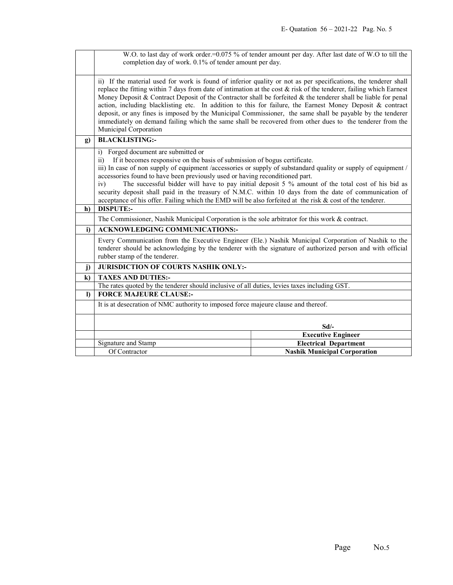|          | W.O. to last day of work order.=0.075 % of tender amount per day. After last date of W.O to till the<br>completion day of work. 0.1% of tender amount per day.                                                                                                                                                                                                                                                                                                                                                                                                                                                                                                                                                          |                                     |  |  |  |
|----------|-------------------------------------------------------------------------------------------------------------------------------------------------------------------------------------------------------------------------------------------------------------------------------------------------------------------------------------------------------------------------------------------------------------------------------------------------------------------------------------------------------------------------------------------------------------------------------------------------------------------------------------------------------------------------------------------------------------------------|-------------------------------------|--|--|--|
|          |                                                                                                                                                                                                                                                                                                                                                                                                                                                                                                                                                                                                                                                                                                                         |                                     |  |  |  |
|          | ii) If the material used for work is found of inferior quality or not as per specifications, the tenderer shall<br>replace the fitting within 7 days from date of intimation at the cost & risk of the tenderer, failing which Earnest<br>Money Deposit & Contract Deposit of the Contractor shall be forfeited & the tenderer shall be liable for penal<br>action, including blacklisting etc. In addition to this for failure, the Earnest Money Deposit & contract<br>deposit, or any fines is imposed by the Municipal Commissioner, the same shall be payable by the tenderer<br>immediately on demand failing which the same shall be recovered from other dues to the tenderer from the<br>Municipal Corporation |                                     |  |  |  |
| g)       | <b>BLACKLISTING:-</b>                                                                                                                                                                                                                                                                                                                                                                                                                                                                                                                                                                                                                                                                                                   |                                     |  |  |  |
|          | Forged document are submitted or<br>$\overline{1}$<br>If it becomes responsive on the basis of submission of bogus certificate.<br>$\overline{11}$<br>iii) In case of non supply of equipment /accessories or supply of substandard quality or supply of equipment /<br>accessories found to have been previously used or having reconditioned part.<br>The successful bidder will have to pay initial deposit 5 % amount of the total cost of his bid as<br>iv)<br>security deposit shall paid in the treasury of N.M.C. within 10 days from the date of communication of<br>acceptance of his offer. Failing which the EMD will be also forfeited at the risk & cost of the tenderer.                                 |                                     |  |  |  |
| h)       | <b>DISPUTE:-</b>                                                                                                                                                                                                                                                                                                                                                                                                                                                                                                                                                                                                                                                                                                        |                                     |  |  |  |
|          | The Commissioner, Nashik Municipal Corporation is the sole arbitrator for this work & contract.                                                                                                                                                                                                                                                                                                                                                                                                                                                                                                                                                                                                                         |                                     |  |  |  |
| i)       | <b>ACKNOWLEDGING COMMUNICATIONS:-</b>                                                                                                                                                                                                                                                                                                                                                                                                                                                                                                                                                                                                                                                                                   |                                     |  |  |  |
|          | Every Communication from the Executive Engineer (Ele.) Nashik Municipal Corporation of Nashik to the<br>tenderer should be acknowledging by the tenderer with the signature of authorized person and with official<br>rubber stamp of the tenderer.                                                                                                                                                                                                                                                                                                                                                                                                                                                                     |                                     |  |  |  |
| j)       | JURISDICTION OF COURTS NASHIK ONLY:-                                                                                                                                                                                                                                                                                                                                                                                                                                                                                                                                                                                                                                                                                    |                                     |  |  |  |
| $\bf k$  | <b>TAXES AND DUTIES:-</b>                                                                                                                                                                                                                                                                                                                                                                                                                                                                                                                                                                                                                                                                                               |                                     |  |  |  |
|          | The rates quoted by the tenderer should inclusive of all duties, levies taxes including GST.                                                                                                                                                                                                                                                                                                                                                                                                                                                                                                                                                                                                                            |                                     |  |  |  |
| $\bf{D}$ | <b>FORCE MAJEURE CLAUSE:-</b>                                                                                                                                                                                                                                                                                                                                                                                                                                                                                                                                                                                                                                                                                           |                                     |  |  |  |
|          | It is at desecration of NMC authority to imposed force majeure clause and thereof.                                                                                                                                                                                                                                                                                                                                                                                                                                                                                                                                                                                                                                      |                                     |  |  |  |
|          |                                                                                                                                                                                                                                                                                                                                                                                                                                                                                                                                                                                                                                                                                                                         | $Sd$ /-                             |  |  |  |
|          |                                                                                                                                                                                                                                                                                                                                                                                                                                                                                                                                                                                                                                                                                                                         | <b>Executive Engineer</b>           |  |  |  |
|          | Signature and Stamp                                                                                                                                                                                                                                                                                                                                                                                                                                                                                                                                                                                                                                                                                                     | <b>Electrical Department</b>        |  |  |  |
|          | Of Contractor                                                                                                                                                                                                                                                                                                                                                                                                                                                                                                                                                                                                                                                                                                           | <b>Nashik Municipal Corporation</b> |  |  |  |